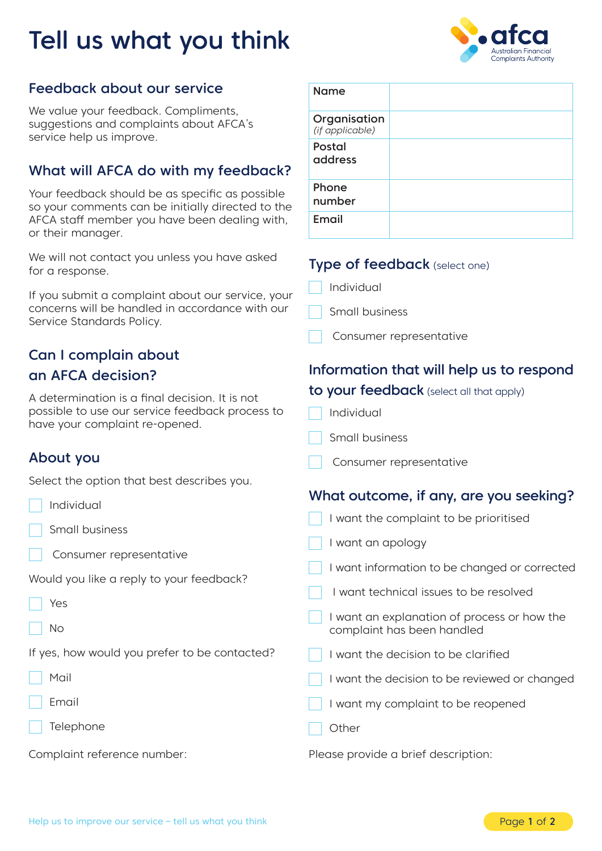# Tell us what you think



## Feedback about our service

We value your feedback. Compliments, suggestions and complaints about AFCA's service help us improve.

## What will AFCA do with my feedback?

Your feedback should be as specific as possible so your comments can be initially directed to the AFCA staff member you have been dealing with, or their manager.

We will not contact you unless you have asked for a response.

If you submit a complaint about our service, your concerns will be handled in accordance with our Service Standards Policy.

## Can I complain about an AFCA decision?

A determination is a final decision. It is not possible to use our service feedback process to have your complaint re-opened.

#### About you

Select the option that best describes you.

- Individual
- Small business
- Consumer representative
- Would you like a reply to your feedback?
- Yes
- No
- If yes, how would you prefer to be contacted?
- Mail
- Email
- Telephone

Complaint reference number:

| <b>Name</b>                     |  |
|---------------------------------|--|
| Organisation<br>(if applicable) |  |
| Postal<br>address               |  |
| Phone<br>number                 |  |
| Email                           |  |

#### Type of feedback (select one)

- Individual
- Small business
- Consumer representative

## Information that will help us to respond to your feedback (select all that apply)

- Individual
- Small business
- Consumer representative

#### What outcome, if any, are you seeking?

| I want the complaint to be prioritised                                    |  |
|---------------------------------------------------------------------------|--|
| I want an apology                                                         |  |
| I want information to be changed or corrected                             |  |
| I want technical issues to be resolved                                    |  |
| I want an explanation of process or how the<br>complaint has been handled |  |
| I want the decision to be clarified                                       |  |
| I want the decision to be reviewed or changed                             |  |
| I want my complaint to be reopened                                        |  |
| Other                                                                     |  |
| Please provide a brief description:                                       |  |